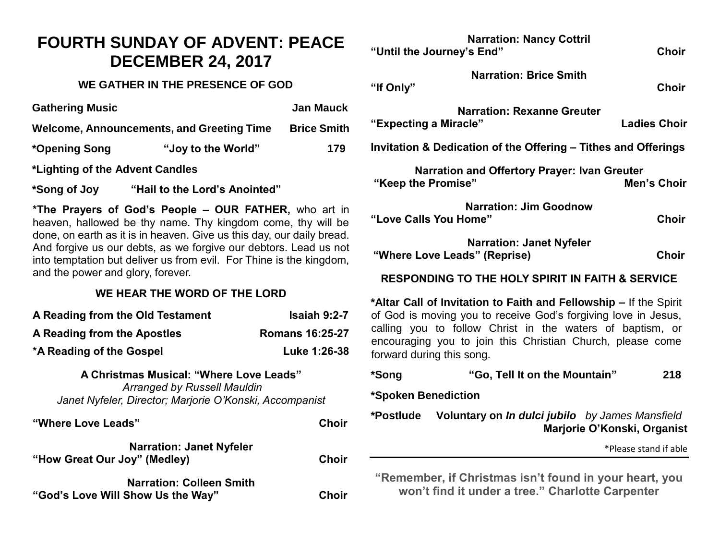# **FOURTH SUNDAY OF ADVENT: PEACE DECEMBER 24, 2017**

#### **WE GATHER IN THE PRESENCE OF GOD**

| <b>Gathering Music</b>                    |                    | <b>Jan Mauck</b>   |
|-------------------------------------------|--------------------|--------------------|
| Welcome, Announcements, and Greeting Time |                    | <b>Brice Smith</b> |
| *Opening Song                             | "Joy to the World" | 179                |
| *Lighting of the Advent Candles           |                    |                    |

**\*Song of Joy "Hail to the Lord's Anointed"**

**\*The Prayers of God's People – OUR FATHER,** who art in heaven, hallowed be thy name. Thy kingdom come, thy will be done, on earth as it is in heaven. Give us this day, our daily bread. And forgive us our debts, as we forgive our debtors. Lead us not into temptation but deliver us from evil. For Thine is the kingdom, and the power and glory, forever.

### **WE HEAR THE WORD OF THE LORD**

| A Reading from the Old Testament | <b>Isaiah 9:2-7</b>    |
|----------------------------------|------------------------|
| A Reading from the Apostles      | <b>Romans 16:25-27</b> |
| *A Reading of the Gospel         | Luke 1:26-38           |

## **A Christmas Musical: "Where Love Leads"** *Arranged by Russell Mauldin*

*Janet Nyfeler, Director; Marjorie O'Konski, Accompanist*

| "Where Love Leads"                | <b>Choir</b> |
|-----------------------------------|--------------|
| <b>Narration: Janet Nyfeler</b>   |              |
| "How Great Our Joy" (Medley)      | <b>Choir</b> |
| <b>Narration: Colleen Smith</b>   |              |
| "God's Love Will Show Us the Way" | <b>Choir</b> |

|                                                                                             | <b>Narration: Nancy Cottril</b><br>"Until the Journey's End"                                                                                                                                                                                                                                | <b>Choir</b>          |
|---------------------------------------------------------------------------------------------|---------------------------------------------------------------------------------------------------------------------------------------------------------------------------------------------------------------------------------------------------------------------------------------------|-----------------------|
| "If Only"                                                                                   | <b>Narration: Brice Smith</b>                                                                                                                                                                                                                                                               | <b>Choir</b>          |
| "Expecting a Miracle"                                                                       | <b>Narration: Rexanne Greuter</b>                                                                                                                                                                                                                                                           | <b>Ladies Choir</b>   |
| Invitation & Dedication of the Offering - Tithes and Offerings                              |                                                                                                                                                                                                                                                                                             |                       |
| "Keep the Promise"                                                                          | <b>Narration and Offertory Prayer: Ivan Greuter</b>                                                                                                                                                                                                                                         | <b>Men's Choir</b>    |
|                                                                                             | <b>Narration: Jim Goodnow</b><br>"Love Calls You Home"                                                                                                                                                                                                                                      | <b>Choir</b>          |
|                                                                                             | <b>Narration: Janet Nyfeler</b><br>"Where Love Leads" (Reprise)                                                                                                                                                                                                                             | <b>Choir</b>          |
| <b>RESPONDING TO THE HOLY SPIRIT IN FAITH &amp; SERVICE</b>                                 |                                                                                                                                                                                                                                                                                             |                       |
|                                                                                             | *Altar Call of Invitation to Faith and Fellowship - If the Spirit<br>of God is moving you to receive God's forgiving love in Jesus,<br>calling you to follow Christ in the waters of baptism, or<br>encouraging you to join this Christian Church, please come<br>forward during this song. |                       |
| *Song                                                                                       | "Go, Tell It on the Mountain"                                                                                                                                                                                                                                                               | 218                   |
| *Spoken Benediction                                                                         |                                                                                                                                                                                                                                                                                             |                       |
| Voluntary on In dulci jubilo by James Mansfield<br>*Postlude<br>Marjorie O'Konski, Organist |                                                                                                                                                                                                                                                                                             |                       |
|                                                                                             |                                                                                                                                                                                                                                                                                             | *Please stand if able |
|                                                                                             | "Remember, if Christmas isn't found in your heart, you<br>won't find it under a tree." Charlotte Carpenter                                                                                                                                                                                  |                       |